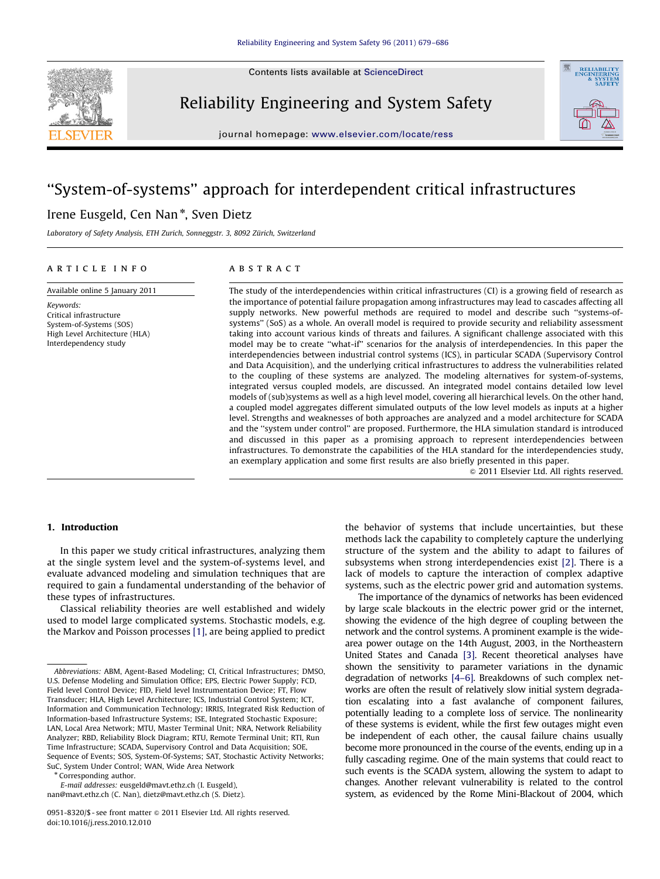

Contents lists available at ScienceDirect

Reliability Engineering and System Safety



journal homepage: <www.elsevier.com/locate/ress>

# ''System-of-systems'' approach for interdependent critical infrastructures

# Irene Eusgeld, Cen Nan\*, Sven Dietz

Laboratory of Safety Analysis, ETH Zurich, Sonneggstr. 3, 8092 Zürich, Switzerland

#### article info

Available online 5 January 2011

Keywords: Critical infrastructure System-of-Systems (SOS) High Level Architecture (HLA) Interdependency study

#### **ABSTRACT**

The study of the interdependencies within critical infrastructures (CI) is a growing field of research as the importance of potential failure propagation among infrastructures may lead to cascades affecting all supply networks. New powerful methods are required to model and describe such ''systems-ofsystems'' (SoS) as a whole. An overall model is required to provide security and reliability assessment taking into account various kinds of threats and failures. A significant challenge associated with this model may be to create ''what-if'' scenarios for the analysis of interdependencies. In this paper the interdependencies between industrial control systems (ICS), in particular SCADA (Supervisory Control and Data Acquisition), and the underlying critical infrastructures to address the vulnerabilities related to the coupling of these systems are analyzed. The modeling alternatives for system-of-systems, integrated versus coupled models, are discussed. An integrated model contains detailed low level models of (sub)systems as well as a high level model, covering all hierarchical levels. On the other hand, a coupled model aggregates different simulated outputs of the low level models as inputs at a higher level. Strengths and weaknesses of both approaches are analyzed and a model architecture for SCADA and the ''system under control'' are proposed. Furthermore, the HLA simulation standard is introduced and discussed in this paper as a promising approach to represent interdependencies between infrastructures. To demonstrate the capabilities of the HLA standard for the interdependencies study, an exemplary application and some first results are also briefly presented in this paper.

 $\odot$  2011 Elsevier Ltd. All rights reserved.

# 1. Introduction

In this paper we study critical infrastructures, analyzing them at the single system level and the system-of-systems level, and evaluate advanced modeling and simulation techniques that are required to gain a fundamental understanding of the behavior of these types of infrastructures.

Classical reliability theories are well established and widely used to model large complicated systems. Stochastic models, e.g. the Markov and Poisson processes [\[1\]](#page-6-0), are being applied to predict

Corresponding author.

E-mail addresses: [eusgeld@mavt.ethz.ch \(I. Eusgeld\),](mailto:eusgeld@mavt.ethz.ch) [nan@mavt.ethz.ch \(C. Nan\),](mailto:nan@mavt.ethz.ch) [dietz@mavt.ethz.ch \(S. Dietz\).](mailto:dietz@mavt.ethz.ch) the behavior of systems that include uncertainties, but these methods lack the capability to completely capture the underlying structure of the system and the ability to adapt to failures of subsystems when strong interdependencies exist [\[2\]](#page-6-0). There is a lack of models to capture the interaction of complex adaptive systems, such as the electric power grid and automation systems.

The importance of the dynamics of networks has been evidenced by large scale blackouts in the electric power grid or the internet, showing the evidence of the high degree of coupling between the network and the control systems. A prominent example is the widearea power outage on the 14th August, 2003, in the Northeastern United States and Canada [\[3\].](#page-6-0) Recent theoretical analyses have shown the sensitivity to parameter variations in the dynamic degradation of networks [\[4–6\]](#page-6-0). Breakdowns of such complex networks are often the result of relatively slow initial system degradation escalating into a fast avalanche of component failures, potentially leading to a complete loss of service. The nonlinearity of these systems is evident, while the first few outages might even be independent of each other, the causal failure chains usually become more pronounced in the course of the events, ending up in a fully cascading regime. One of the main systems that could react to such events is the SCADA system, allowing the system to adapt to changes. Another relevant vulnerability is related to the control system, as evidenced by the Rome Mini-Blackout of 2004, which

Abbreviations: ABM, Agent-Based Modeling; CI, Critical Infrastructures; DMSO, U.S. Defense Modeling and Simulation Office; EPS, Electric Power Supply; FCD, Field level Control Device; FID, Field level Instrumentation Device; FT, Flow Transducer; HLA, High Level Architecture; ICS, Industrial Control System; ICT, Information and Communication Technology; IRRIS, Integrated Risk Reduction of Information-based Infrastructure Systems; ISE, Integrated Stochastic Exposure; LAN, Local Area Network; MTU, Master Terminal Unit; NRA, Network Reliability Analyzer; RBD, Reliability Block Diagram; RTU, Remote Terminal Unit; RTI, Run Time Infrastructure; SCADA, Supervisory Control and Data Acquisition; SOE, Sequence of Events; SOS, System-Of-Systems; SAT, Stochastic Activity Networks; SuC, System Under Control; WAN, Wide Area Network

<sup>0951-8320/\$ -</sup> see front matter @ 2011 Elsevier Ltd. All rights reserved. doi:[10.1016/j.ress.2010.12.010](dx.doi.org/10.1016/j.ress.2010.12.010)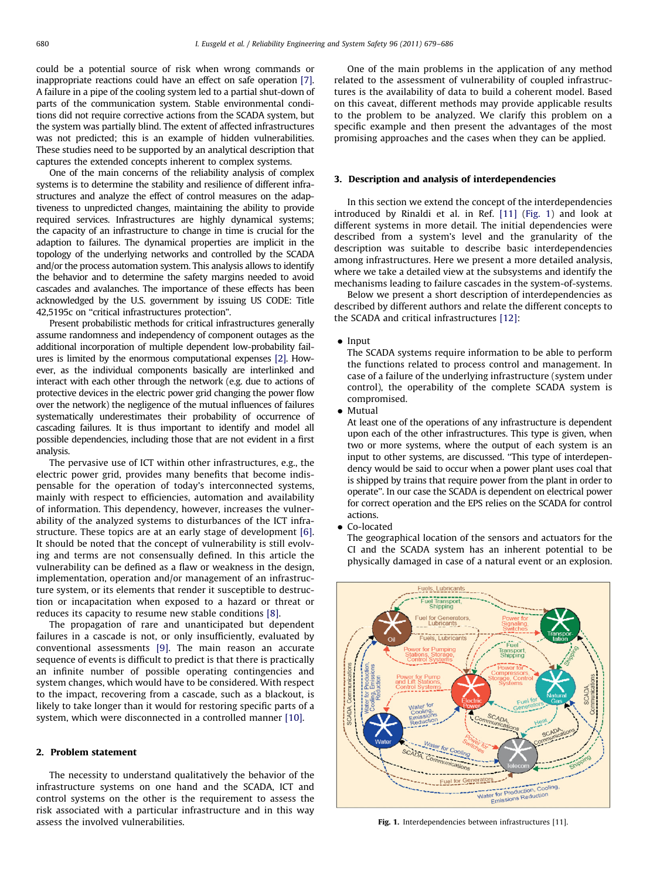could be a potential source of risk when wrong commands or inappropriate reactions could have an effect on safe operation [\[7\].](#page-6-0) A failure in a pipe of the cooling system led to a partial shut-down of parts of the communication system. Stable environmental conditions did not require corrective actions from the SCADA system, but the system was partially blind. The extent of affected infrastructures was not predicted; this is an example of hidden vulnerabilities. These studies need to be supported by an analytical description that captures the extended concepts inherent to complex systems.

One of the main concerns of the reliability analysis of complex systems is to determine the stability and resilience of different infrastructures and analyze the effect of control measures on the adaptiveness to unpredicted changes, maintaining the ability to provide required services. Infrastructures are highly dynamical systems; the capacity of an infrastructure to change in time is crucial for the adaption to failures. The dynamical properties are implicit in the topology of the underlying networks and controlled by the SCADA and/or the process automation system. This analysis allows to identify the behavior and to determine the safety margins needed to avoid cascades and avalanches. The importance of these effects has been acknowledged by the U.S. government by issuing US CODE: Title 42,5195c on ''critical infrastructures protection''.

Present probabilistic methods for critical infrastructures generally assume randomness and independency of component outages as the additional incorporation of multiple dependent low-probability failures is limited by the enormous computational expenses [\[2\]](#page-6-0). However, as the individual components basically are interlinked and interact with each other through the network (e.g. due to actions of protective devices in the electric power grid changing the power flow over the network) the negligence of the mutual influences of failures systematically underestimates their probability of occurrence of cascading failures. It is thus important to identify and model all possible dependencies, including those that are not evident in a first analysis.

The pervasive use of ICT within other infrastructures, e.g., the electric power grid, provides many benefits that become indispensable for the operation of today's interconnected systems, mainly with respect to efficiencies, automation and availability of information. This dependency, however, increases the vulnerability of the analyzed systems to disturbances of the ICT infrastructure. These topics are at an early stage of development [\[6\].](#page-6-0) It should be noted that the concept of vulnerability is still evolving and terms are not consensually defined. In this article the vulnerability can be defined as a flaw or weakness in the design, implementation, operation and/or management of an infrastructure system, or its elements that render it susceptible to destruction or incapacitation when exposed to a hazard or threat or reduces its capacity to resume new stable conditions [\[8\].](#page-6-0)

The propagation of rare and unanticipated but dependent failures in a cascade is not, or only insufficiently, evaluated by conventional assessments [\[9\]](#page-6-0). The main reason an accurate sequence of events is difficult to predict is that there is practically an infinite number of possible operating contingencies and system changes, which would have to be considered. With respect to the impact, recovering from a cascade, such as a blackout, is likely to take longer than it would for restoring specific parts of a system, which were disconnected in a controlled manner [\[10\].](#page-6-0)

## 2. Problem statement

The necessity to understand qualitatively the behavior of the infrastructure systems on one hand and the SCADA, ICT and control systems on the other is the requirement to assess the risk associated with a particular infrastructure and in this way assess the involved vulnerabilities.

One of the main problems in the application of any method related to the assessment of vulnerability of coupled infrastructures is the availability of data to build a coherent model. Based on this caveat, different methods may provide applicable results to the problem to be analyzed. We clarify this problem on a specific example and then present the advantages of the most promising approaches and the cases when they can be applied.

# 3. Description and analysis of interdependencies

In this section we extend the concept of the interdependencies introduced by Rinaldi et al. in Ref. [\[11\]](#page-7-0) (Fig. 1) and look at different systems in more detail. The initial dependencies were described from a system's level and the granularity of the description was suitable to describe basic interdependencies among infrastructures. Here we present a more detailed analysis, where we take a detailed view at the subsystems and identify the mechanisms leading to failure cascades in the system-of-systems.

Below we present a short description of interdependencies as described by different authors and relate the different concepts to the SCADA and critical infrastructures [\[12\]:](#page-7-0)

• Input

The SCADA systems require information to be able to perform the functions related to process control and management. In case of a failure of the underlying infrastructure (system under control), the operability of the complete SCADA system is compromised.

• Mutual

At least one of the operations of any infrastructure is dependent upon each of the other infrastructures. This type is given, when two or more systems, where the output of each system is an input to other systems, are discussed. "This type of interdependency would be said to occur when a power plant uses coal that is shipped by trains that require power from the plant in order to operate''. In our case the SCADA is dependent on electrical power for correct operation and the EPS relies on the SCADA for control actions.

• Co-located

The geographical location of the sensors and actuators for the CI and the SCADA system has an inherent potential to be physically damaged in case of a natural event or an explosion.



Fig. 1. Interdependencies between infrastructures [11].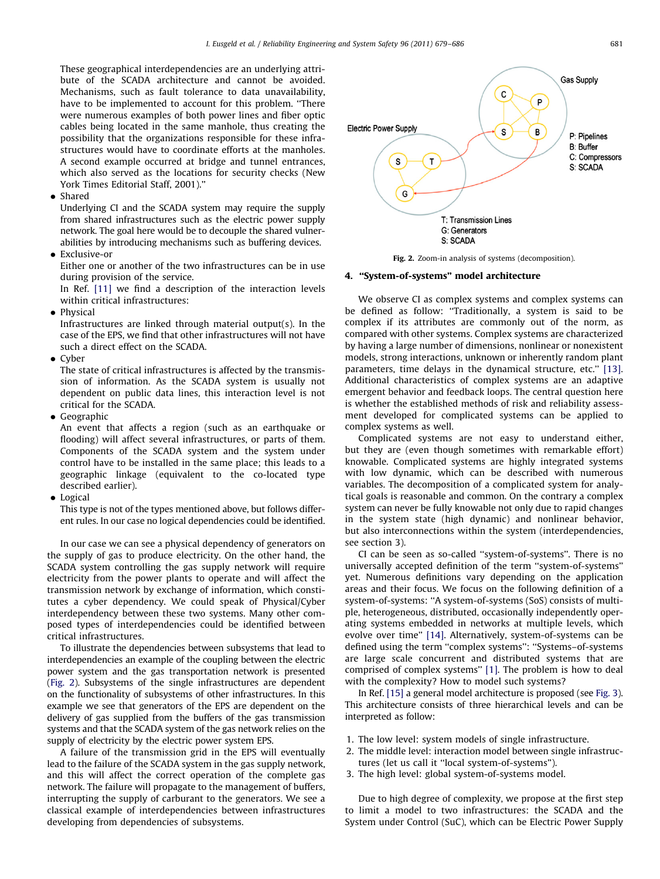These geographical interdependencies are an underlying attribute of the SCADA architecture and cannot be avoided. Mechanisms, such as fault tolerance to data unavailability, have to be implemented to account for this problem. ''There were numerous examples of both power lines and fiber optic cables being located in the same manhole, thus creating the possibility that the organizations responsible for these infrastructures would have to coordinate efforts at the manholes. A second example occurred at bridge and tunnel entrances, which also served as the locations for security checks (New York Times Editorial Staff, 2001).''

 $\bullet$ Shared

> Underlying CI and the SCADA system may require the supply from shared infrastructures such as the electric power supply network. The goal here would be to decouple the shared vulnerabilities by introducing mechanisms such as buffering devices.

 $\bullet$ Exclusive-or

> Either one or another of the two infrastructures can be in use during provision of the service.

> In Ref. [\[11\]](#page-7-0) we find a description of the interaction levels within critical infrastructures:

• Physical

Infrastructures are linked through material output(s). In the case of the EPS, we find that other infrastructures will not have such a direct effect on the SCADA.

• Cyber

The state of critical infrastructures is affected by the transmission of information. As the SCADA system is usually not dependent on public data lines, this interaction level is not critical for the SCADA.

**·** Geographic

An event that affects a region (such as an earthquake or flooding) will affect several infrastructures, or parts of them. Components of the SCADA system and the system under control have to be installed in the same place; this leads to a geographic linkage (equivalent to the co-located type described earlier).

 $\bullet$ Logical

> This type is not of the types mentioned above, but follows different rules. In our case no logical dependencies could be identified.

In our case we can see a physical dependency of generators on the supply of gas to produce electricity. On the other hand, the SCADA system controlling the gas supply network will require electricity from the power plants to operate and will affect the transmission network by exchange of information, which constitutes a cyber dependency. We could speak of Physical/Cyber interdependency between these two systems. Many other composed types of interdependencies could be identified between critical infrastructures.

To illustrate the dependencies between subsystems that lead to interdependencies an example of the coupling between the electric power system and the gas transportation network is presented (Fig. 2). Subsystems of the single infrastructures are dependent on the functionality of subsystems of other infrastructures. In this example we see that generators of the EPS are dependent on the delivery of gas supplied from the buffers of the gas transmission systems and that the SCADA system of the gas network relies on the supply of electricity by the electric power system EPS.

A failure of the transmission grid in the EPS will eventually lead to the failure of the SCADA system in the gas supply network, and this will affect the correct operation of the complete gas network. The failure will propagate to the management of buffers, interrupting the supply of carburant to the generators. We see a classical example of interdependencies between infrastructures developing from dependencies of subsystems.



Fig. 2. Zoom-in analysis of systems (decomposition).

#### 4. ''System-of-systems'' model architecture

We observe CI as complex systems and complex systems can be defined as follow: ''Traditionally, a system is said to be complex if its attributes are commonly out of the norm, as compared with other systems. Complex systems are characterized by having a large number of dimensions, nonlinear or nonexistent models, strong interactions, unknown or inherently random plant parameters, time delays in the dynamical structure, etc.'' [\[13\].](#page-7-0) Additional characteristics of complex systems are an adaptive emergent behavior and feedback loops. The central question here is whether the established methods of risk and reliability assessment developed for complicated systems can be applied to complex systems as well.

Complicated systems are not easy to understand either, but they are (even though sometimes with remarkable effort) knowable. Complicated systems are highly integrated systems with low dynamic, which can be described with numerous variables. The decomposition of a complicated system for analytical goals is reasonable and common. On the contrary a complex system can never be fully knowable not only due to rapid changes in the system state (high dynamic) and nonlinear behavior, but also interconnections within the system (interdependencies, see section 3).

CI can be seen as so-called ''system-of-systems''. There is no universally accepted definition of the term ''system-of-systems'' yet. Numerous definitions vary depending on the application areas and their focus. We focus on the following definition of a system-of-systems: ''A system-of-systems (SoS) consists of multiple, heterogeneous, distributed, occasionally independently operating systems embedded in networks at multiple levels, which evolve over time'' [\[14\].](#page-7-0) Alternatively, system-of-systems can be defined using the term ''complex systems'': ''Systems–of-systems are large scale concurrent and distributed systems that are comprised of complex systems'' [\[1\]](#page-6-0). The problem is how to deal with the complexity? How to model such systems?

In Ref. [\[15\]](#page-7-0) a general model architecture is proposed (see [Fig. 3\)](#page-3-0). This architecture consists of three hierarchical levels and can be interpreted as follow:

- 1. The low level: system models of single infrastructure.
- 2. The middle level: interaction model between single infrastructures (let us call it ''local system-of-systems'').
- 3. The high level: global system-of-systems model.

Due to high degree of complexity, we propose at the first step to limit a model to two infrastructures: the SCADA and the System under Control (SuC), which can be Electric Power Supply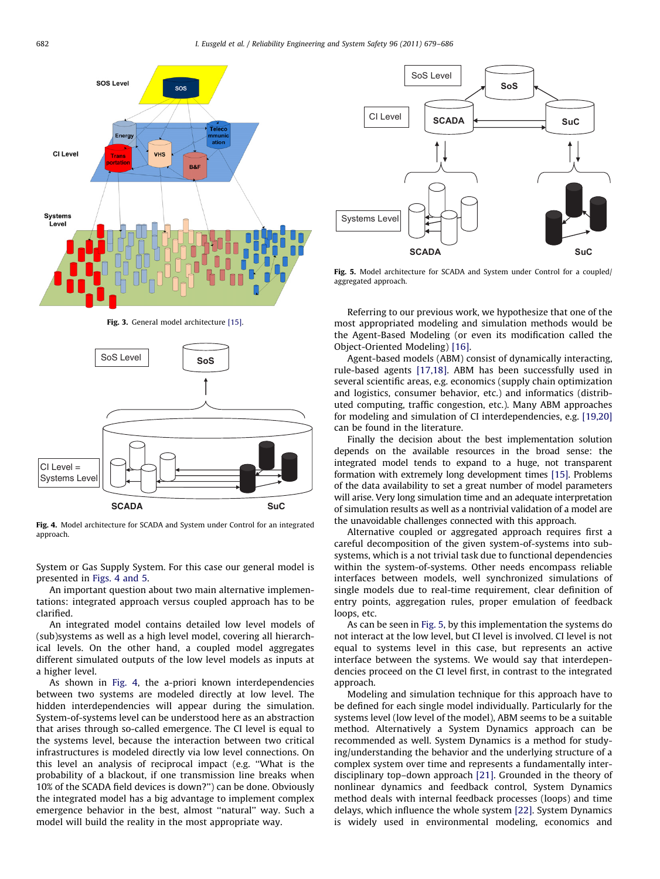<span id="page-3-0"></span>

Fig. 3. General model architecture [\[15\]](#page-7-0).



Fig. 4. Model architecture for SCADA and System under Control for an integrated approach.

System or Gas Supply System. For this case our general model is presented in Figs. 4 and 5.

An important question about two main alternative implementations: integrated approach versus coupled approach has to be clarified.

An integrated model contains detailed low level models of (sub)systems as well as a high level model, covering all hierarchical levels. On the other hand, a coupled model aggregates different simulated outputs of the low level models as inputs at a higher level.

As shown in Fig. 4, the a-priori known interdependencies between two systems are modeled directly at low level. The hidden interdependencies will appear during the simulation. System-of-systems level can be understood here as an abstraction that arises through so-called emergence. The CI level is equal to the systems level, because the interaction between two critical infrastructures is modeled directly via low level connections. On this level an analysis of reciprocal impact (e.g. ''What is the probability of a blackout, if one transmission line breaks when 10% of the SCADA field devices is down?'') can be done. Obviously the integrated model has a big advantage to implement complex emergence behavior in the best, almost "natural" way. Such a model will build the reality in the most appropriate way.



Fig. 5. Model architecture for SCADA and System under Control for a coupled/ aggregated approach.

Referring to our previous work, we hypothesize that one of the most appropriated modeling and simulation methods would be the Agent-Based Modeling (or even its modification called the Object-Oriented Modeling) [\[16\].](#page-7-0)

Agent-based models (ABM) consist of dynamically interacting, rule-based agents [\[17,18\]](#page-7-0). ABM has been successfully used in several scientific areas, e.g. economics (supply chain optimization and logistics, consumer behavior, etc.) and informatics (distributed computing, traffic congestion, etc.). Many ABM approaches for modeling and simulation of CI interdependencies, e.g. [\[19,20\]](#page-7-0) can be found in the literature.

Finally the decision about the best implementation solution depends on the available resources in the broad sense: the integrated model tends to expand to a huge, not transparent formation with extremely long development times [\[15\].](#page-7-0) Problems of the data availability to set a great number of model parameters will arise. Very long simulation time and an adequate interpretation of simulation results as well as a nontrivial validation of a model are the unavoidable challenges connected with this approach.

Alternative coupled or aggregated approach requires first a careful decomposition of the given system-of-systems into subsystems, which is a not trivial task due to functional dependencies within the system-of-systems. Other needs encompass reliable interfaces between models, well synchronized simulations of single models due to real-time requirement, clear definition of entry points, aggregation rules, proper emulation of feedback loops, etc.

As can be seen in Fig. 5, by this implementation the systems do not interact at the low level, but CI level is involved. CI level is not equal to systems level in this case, but represents an active interface between the systems. We would say that interdependencies proceed on the CI level first, in contrast to the integrated approach.

Modeling and simulation technique for this approach have to be defined for each single model individually. Particularly for the systems level (low level of the model), ABM seems to be a suitable method. Alternatively a System Dynamics approach can be recommended as well. System Dynamics is a method for studying/understanding the behavior and the underlying structure of a complex system over time and represents a fundamentally interdisciplinary top–down approach [\[21\].](#page-7-0) Grounded in the theory of nonlinear dynamics and feedback control, System Dynamics method deals with internal feedback processes (loops) and time delays, which influence the whole system [\[22\]](#page-7-0). System Dynamics is widely used in environmental modeling, economics and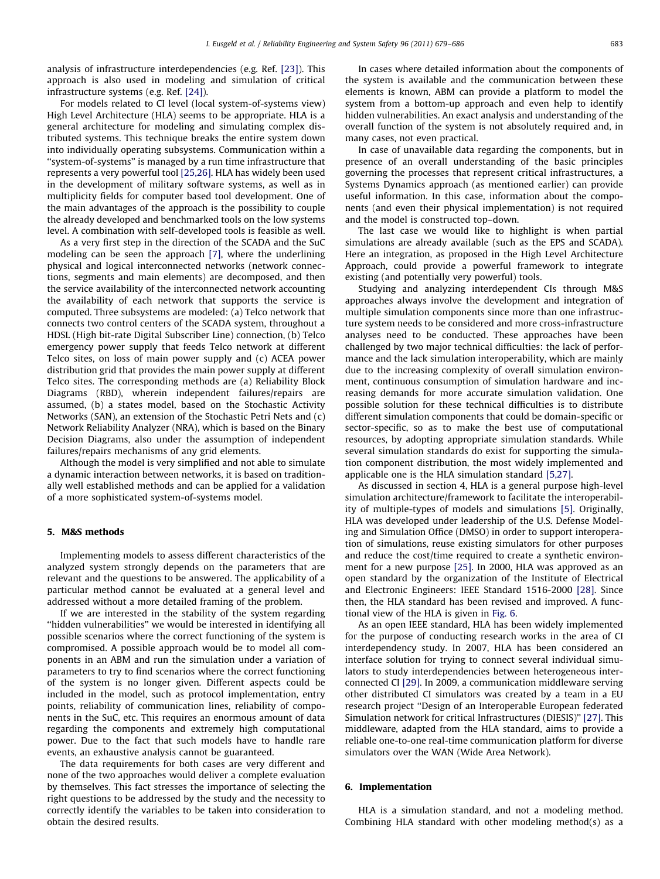analysis of infrastructure interdependencies (e.g. Ref. [\[23\]](#page-7-0)). This approach is also used in modeling and simulation of critical infrastructure systems (e.g. Ref. [\[24\]](#page-7-0)).

For models related to CI level (local system-of-systems view) High Level Architecture (HLA) seems to be appropriate. HLA is a general architecture for modeling and simulating complex distributed systems. This technique breaks the entire system down into individually operating subsystems. Communication within a ''system-of-systems'' is managed by a run time infrastructure that represents a very powerful tool [\[25,26\]](#page-7-0). HLA has widely been used in the development of military software systems, as well as in multiplicity fields for computer based tool development. One of the main advantages of the approach is the possibility to couple the already developed and benchmarked tools on the low systems level. A combination with self-developed tools is feasible as well.

As a very first step in the direction of the SCADA and the SuC modeling can be seen the approach [\[7\]](#page-6-0), where the underlining physical and logical interconnected networks (network connections, segments and main elements) are decomposed, and then the service availability of the interconnected network accounting the availability of each network that supports the service is computed. Three subsystems are modeled: (a) Telco network that connects two control centers of the SCADA system, throughout a HDSL (High bit-rate Digital Subscriber Line) connection, (b) Telco emergency power supply that feeds Telco network at different Telco sites, on loss of main power supply and (c) ACEA power distribution grid that provides the main power supply at different Telco sites. The corresponding methods are (a) Reliability Block Diagrams (RBD), wherein independent failures/repairs are assumed, (b) a states model, based on the Stochastic Activity Networks (SAN), an extension of the Stochastic Petri Nets and (c) Network Reliability Analyzer (NRA), which is based on the Binary Decision Diagrams, also under the assumption of independent failures/repairs mechanisms of any grid elements.

Although the model is very simplified and not able to simulate a dynamic interaction between networks, it is based on traditionally well established methods and can be applied for a validation of a more sophisticated system-of-systems model.

#### 5. M&S methods

Implementing models to assess different characteristics of the analyzed system strongly depends on the parameters that are relevant and the questions to be answered. The applicability of a particular method cannot be evaluated at a general level and addressed without a more detailed framing of the problem.

If we are interested in the stability of the system regarding ''hidden vulnerabilities'' we would be interested in identifying all possible scenarios where the correct functioning of the system is compromised. A possible approach would be to model all components in an ABM and run the simulation under a variation of parameters to try to find scenarios where the correct functioning of the system is no longer given. Different aspects could be included in the model, such as protocol implementation, entry points, reliability of communication lines, reliability of components in the SuC, etc. This requires an enormous amount of data regarding the components and extremely high computational power. Due to the fact that such models have to handle rare events, an exhaustive analysis cannot be guaranteed.

The data requirements for both cases are very different and none of the two approaches would deliver a complete evaluation by themselves. This fact stresses the importance of selecting the right questions to be addressed by the study and the necessity to correctly identify the variables to be taken into consideration to obtain the desired results.

In cases where detailed information about the components of the system is available and the communication between these elements is known, ABM can provide a platform to model the system from a bottom-up approach and even help to identify hidden vulnerabilities. An exact analysis and understanding of the overall function of the system is not absolutely required and, in many cases, not even practical.

In case of unavailable data regarding the components, but in presence of an overall understanding of the basic principles governing the processes that represent critical infrastructures, a Systems Dynamics approach (as mentioned earlier) can provide useful information. In this case, information about the components (and even their physical implementation) is not required and the model is constructed top–down.

The last case we would like to highlight is when partial simulations are already available (such as the EPS and SCADA). Here an integration, as proposed in the High Level Architecture Approach, could provide a powerful framework to integrate existing (and potentially very powerful) tools.

Studying and analyzing interdependent CIs through M&S approaches always involve the development and integration of multiple simulation components since more than one infrastructure system needs to be considered and more cross-infrastructure analyses need to be conducted. These approaches have been challenged by two major technical difficulties: the lack of performance and the lack simulation interoperability, which are mainly due to the increasing complexity of overall simulation environment, continuous consumption of simulation hardware and increasing demands for more accurate simulation validation. One possible solution for these technical difficulties is to distribute different simulation components that could be domain-specific or sector-specific, so as to make the best use of computational resources, by adopting appropriate simulation standards. While several simulation standards do exist for supporting the simulation component distribution, the most widely implemented and applicable one is the HLA simulation standard [\[5,27\]](#page-6-0).

As discussed in section 4, HLA is a general purpose high-level simulation architecture/framework to facilitate the interoperability of multiple-types of models and simulations [\[5\]](#page-6-0). Originally, HLA was developed under leadership of the U.S. Defense Modeling and Simulation Office (DMSO) in order to support interoperation of simulations, reuse existing simulators for other purposes and reduce the cost/time required to create a synthetic environment for a new purpose [\[25\].](#page-7-0) In 2000, HLA was approved as an open standard by the organization of the Institute of Electrical and Electronic Engineers: IEEE Standard 1516-2000 [\[28\]](#page-7-0). Since then, the HLA standard has been revised and improved. A functional view of the HLA is given in [Fig. 6](#page-5-0).

As an open IEEE standard, HLA has been widely implemented for the purpose of conducting research works in the area of CI interdependency study. In 2007, HLA has been considered an interface solution for trying to connect several individual simulators to study interdependencies between heterogeneous interconnected CI [\[29\].](#page-7-0) In 2009, a communication middleware serving other distributed CI simulators was created by a team in a EU research project ''Design of an Interoperable European federated Simulation network for critical Infrastructures (DIESIS)'' [\[27\]](#page-7-0). This middleware, adapted from the HLA standard, aims to provide a reliable one-to-one real-time communication platform for diverse simulators over the WAN (Wide Area Network).

#### 6. Implementation

HLA is a simulation standard, and not a modeling method. Combining HLA standard with other modeling method(s) as a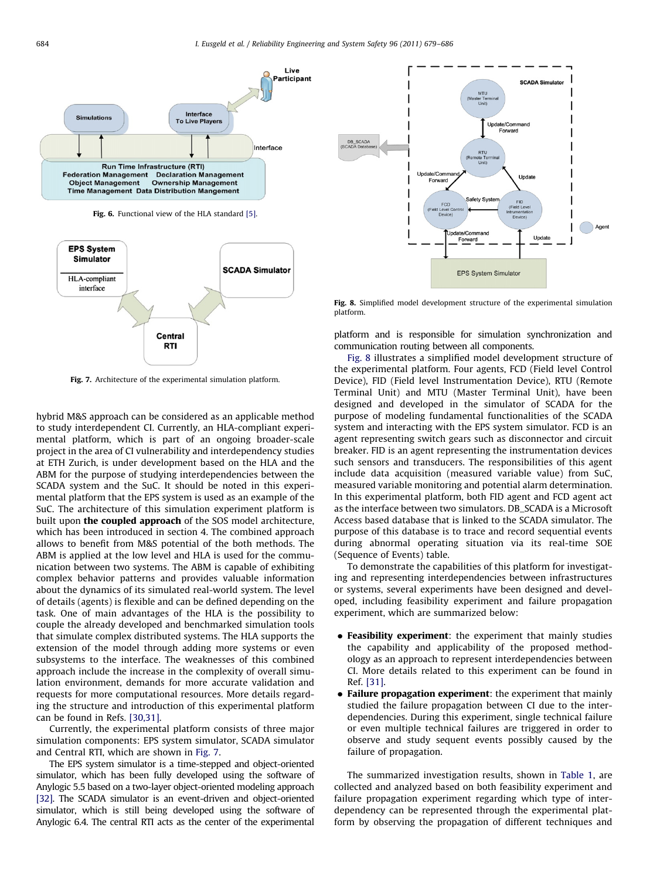<span id="page-5-0"></span>

Fig. 6. Functional view of the HLA standard [\[5\].](#page-6-0)



Fig. 7. Architecture of the experimental simulation platform.

hybrid M&S approach can be considered as an applicable method to study interdependent CI. Currently, an HLA-compliant experimental platform, which is part of an ongoing broader-scale project in the area of CI vulnerability and interdependency studies at ETH Zurich, is under development based on the HLA and the ABM for the purpose of studying interdependencies between the SCADA system and the SuC. It should be noted in this experimental platform that the EPS system is used as an example of the SuC. The architecture of this simulation experiment platform is built upon **the coupled approach** of the SOS model architecture, which has been introduced in section 4. The combined approach allows to benefit from M&S potential of the both methods. The ABM is applied at the low level and HLA is used for the communication between two systems. The ABM is capable of exhibiting complex behavior patterns and provides valuable information about the dynamics of its simulated real-world system. The level of details (agents) is flexible and can be defined depending on the task. One of main advantages of the HLA is the possibility to couple the already developed and benchmarked simulation tools that simulate complex distributed systems. The HLA supports the extension of the model through adding more systems or even subsystems to the interface. The weaknesses of this combined approach include the increase in the complexity of overall simulation environment, demands for more accurate validation and requests for more computational resources. More details regarding the structure and introduction of this experimental platform can be found in Refs. [\[30,31\].](#page-7-0)

Currently, the experimental platform consists of three major simulation components: EPS system simulator, SCADA simulator and Central RTI, which are shown in Fig. 7.

The EPS system simulator is a time-stepped and object-oriented simulator, which has been fully developed using the software of Anylogic 5.5 based on a two-layer object-oriented modeling approach [\[32\]](#page-7-0). The SCADA simulator is an event-driven and object-oriented simulator, which is still being developed using the software of Anylogic 6.4. The central RTI acts as the center of the experimental



Fig. 8. Simplified model development structure of the experimental simulation platform.

platform and is responsible for simulation synchronization and communication routing between all components.

Fig. 8 illustrates a simplified model development structure of the experimental platform. Four agents, FCD (Field level Control Device), FID (Field level Instrumentation Device), RTU (Remote Terminal Unit) and MTU (Master Terminal Unit), have been designed and developed in the simulator of SCADA for the purpose of modeling fundamental functionalities of the SCADA system and interacting with the EPS system simulator. FCD is an agent representing switch gears such as disconnector and circuit breaker. FID is an agent representing the instrumentation devices such sensors and transducers. The responsibilities of this agent include data acquisition (measured variable value) from SuC, measured variable monitoring and potential alarm determination. In this experimental platform, both FID agent and FCD agent act as the interface between two simulators. DB\_SCADA is a Microsoft Access based database that is linked to the SCADA simulator. The purpose of this database is to trace and record sequential events during abnormal operating situation via its real-time SOE (Sequence of Events) table.

To demonstrate the capabilities of this platform for investigating and representing interdependencies between infrastructures or systems, several experiments have been designed and developed, including feasibility experiment and failure propagation experiment, which are summarized below:

- **Feasibility experiment**: the experiment that mainly studies the capability and applicability of the proposed methodology as an approach to represent interdependencies between CI. More details related to this experiment can be found in Ref. [\[31\]](#page-7-0).
- Failure propagation experiment: the experiment that mainly studied the failure propagation between CI due to the interdependencies. During this experiment, single technical failure or even multiple technical failures are triggered in order to observe and study sequent events possibly caused by the failure of propagation.

The summarized investigation results, shown in [Table 1](#page-6-0), are collected and analyzed based on both feasibility experiment and failure propagation experiment regarding which type of interdependency can be represented through the experimental platform by observing the propagation of different techniques and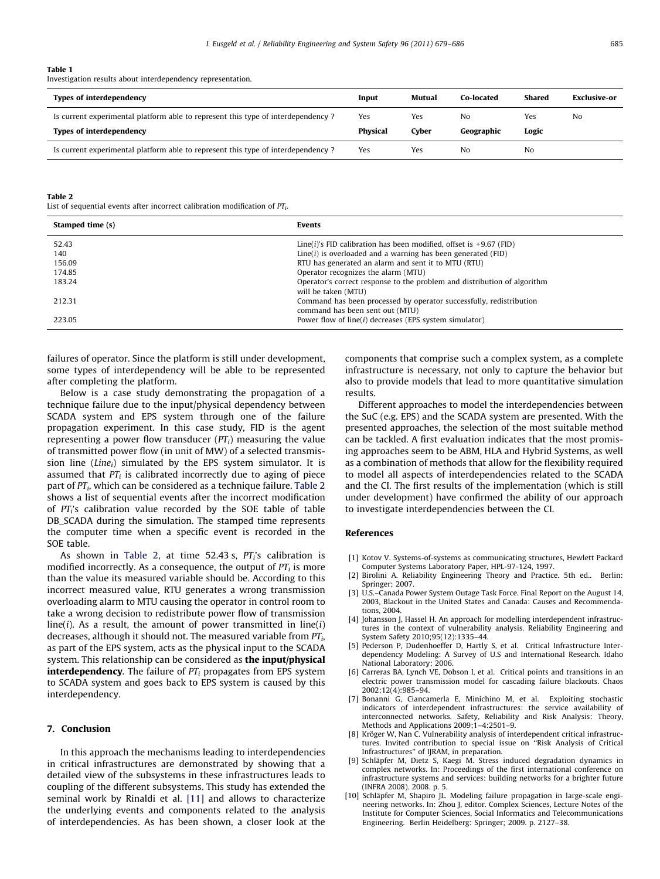#### <span id="page-6-0"></span>Table 1

Investigation results about interdependency representation.

| Types of interdependency                                                         | Input           | Mutual | Co-located | Shared | Exclusive-or |
|----------------------------------------------------------------------------------|-----------------|--------|------------|--------|--------------|
| Is current experimental platform able to represent this type of interdependency? | Yes             | Yes    | No         | Yes    | No           |
| <b>Types of interdependency</b>                                                  | <b>Physical</b> | Cyber  | Geographic | Logic  |              |
| Is current experimental platform able to represent this type of interdependency? | Yes             | Yes    | No         | No     |              |
|                                                                                  |                 |        |            |        |              |

#### Table 2

List of sequential events after incorrect calibration modification of  $PT_i$ .

| Stamped time (s) | Events                                                                                                 |
|------------------|--------------------------------------------------------------------------------------------------------|
| 52.43            | Line( <i>i</i> )'s FID calibration has been modified, offset is $+9.67$ (FID)                          |
| 140              | $Line(i)$ is overloaded and a warning has been generated (FID)                                         |
| 156.09           | RTU has generated an alarm and sent it to MTU (RTU)                                                    |
| 174.85           | Operator recognizes the alarm (MTU)                                                                    |
| 183.24           | Operator's correct response to the problem and distribution of algorithm<br>will be taken (MTU)        |
| 212.31           | Command has been processed by operator successfully, redistribution<br>command has been sent out (MTU) |
| 223.05           | Power flow of line( <i>i</i> ) decreases (EPS system simulator)                                        |

failures of operator. Since the platform is still under development, some types of interdependency will be able to be represented after completing the platform.

Below is a case study demonstrating the propagation of a technique failure due to the input/physical dependency between SCADA system and EPS system through one of the failure propagation experiment. In this case study, FID is the agent representing a power flow transducer  $(PT_i)$  measuring the value of transmitted power flow (in unit of MW) of a selected transmission line (Line<sub>i</sub>) simulated by the EPS system simulator. It is assumed that  $PT_i$  is calibrated incorrectly due to aging of piece part of  $PT_i$ , which can be considered as a technique failure. Table 2 shows a list of sequential events after the incorrect modification of  $PT_i$ 's calibration value recorded by the SOE table of table DB\_SCADA during the simulation. The stamped time represents the computer time when a specific event is recorded in the SOE table.

As shown in Table 2, at time 52.43 s,  $PT_i$ 's calibration is modified incorrectly. As a consequence, the output of  $PT_i$  is more than the value its measured variable should be. According to this incorrect measured value, RTU generates a wrong transmission overloading alarm to MTU causing the operator in control room to take a wrong decision to redistribute power flow of transmission line(*i*). As a result, the amount of power transmitted in line(*i*) decreases, although it should not. The measured variable from  $PT_i$ , as part of the EPS system, acts as the physical input to the SCADA system. This relationship can be considered as the input/physical **interdependency**. The failure of  $PT_i$  propagates from EPS system to SCADA system and goes back to EPS system is caused by this interdependency.

## 7. Conclusion

In this approach the mechanisms leading to interdependencies in critical infrastructures are demonstrated by showing that a detailed view of the subsystems in these infrastructures leads to coupling of the different subsystems. This study has extended the seminal work by Rinaldi et al. [\[11\]](#page-7-0) and allows to characterize the underlying events and components related to the analysis of interdependencies. As has been shown, a closer look at the components that comprise such a complex system, as a complete infrastructure is necessary, not only to capture the behavior but also to provide models that lead to more quantitative simulation results.

Different approaches to model the interdependencies between the SuC (e.g. EPS) and the SCADA system are presented. With the presented approaches, the selection of the most suitable method can be tackled. A first evaluation indicates that the most promising approaches seem to be ABM, HLA and Hybrid Systems, as well as a combination of methods that allow for the flexibility required to model all aspects of interdependencies related to the SCADA and the CI. The first results of the implementation (which is still under development) have confirmed the ability of our approach to investigate interdependencies between the CI.

#### References

- [1] Kotov V. Systems-of-systems as communicating structures, Hewlett Packard Computer Systems Laboratory Paper, HPL-97-124, 1997.
- [2] Birolini A. Reliability Engineering Theory and Practice. 5th ed.. Berlin: Springer; 2007.
- [3] U.S.–Canada Power System Outage Task Force. Final Report on the August 14, 2003, Blackout in the United States and Canada: Causes and Recommendations, 2004.
- [4] Johansson J, Hassel H. An approach for modelling interdependent infrastructures in the context of vulnerability analysis. Reliability Engineering and System Safety 2010;95(12):1335–44.
- [5] Pederson P, Dudenhoeffer D, Hartly S, et al. Critical Infrastructure Interdependency Modeling: A Survey of U.S and International Research. Idaho National Laboratory; 2006.
- [6] Carreras BA, Lynch VE, Dobson I, et al. Critical points and transitions in an electric power transmission model for cascading failure blackouts. Chaos 2002;12(4):985–94.
- [7] Bonanni G, Ciancamerla E, Minichino M, et al. Exploiting stochastic indicators of interdependent infrastructures: the service availability of interconnected networks. Safety, Reliability and Risk Analysis: Theory, Methods and Applications 2009;1–4:2501–9.
- [8] Kröger W, Nan C. Vulnerability analysis of interdependent critical infrastructures. Invited contribution to special issue on ''Risk Analysis of Critical Infrastructures'' of IJRAM, in preparation.
- Schläpfer M, Dietz S, Kaegi M. Stress induced degradation dynamics in complex networks. In: Proceedings of the first international conference on infrastructure systems and services: building networks for a brighter future (INFRA 2008). 2008. p. 5.
- [10] Schläpfer M, Shapiro JL. Modeling failure propagation in large-scale engineering networks. In: Zhou J, editor. Complex Sciences, Lecture Notes of the Institute for Computer Sciences, Social Informatics and Telecommunications Engineering. Berlin Heidelberg: Springer; 2009. p. 2127–38.